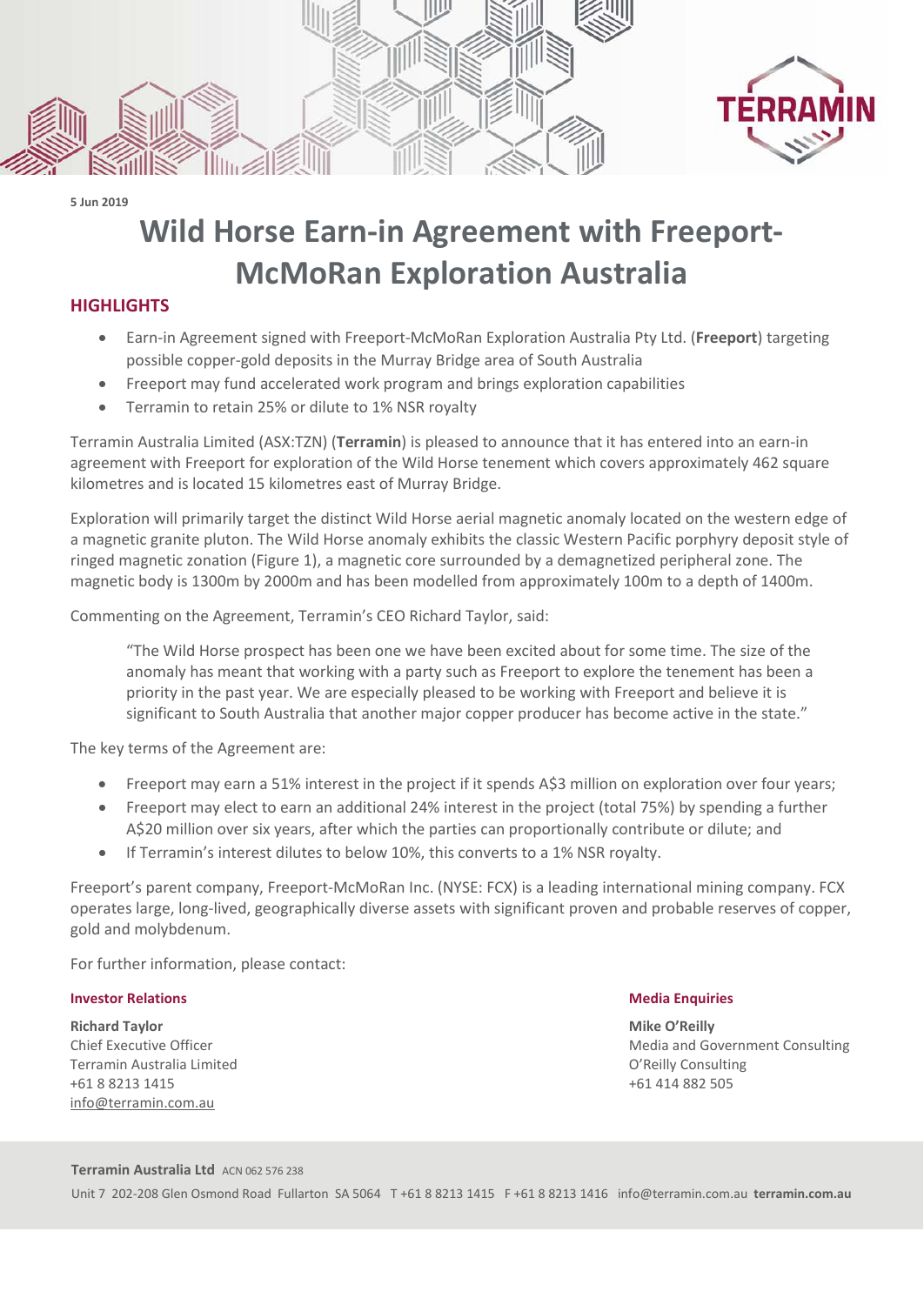

**5 Jun 2019**

# **Wild Horse Earn-in Agreement with Freeport-McMoRan Exploration Australia**

## **HIGHLIGHTS**

- Earn-in Agreement signed with Freeport-McMoRan Exploration Australia Pty Ltd. (**Freeport**) targeting possible copper-gold deposits in the Murray Bridge area of South Australia
- Freeport may fund accelerated work program and brings exploration capabilities
- Terramin to retain 25% or dilute to 1% NSR royalty

Terramin Australia Limited (ASX:TZN) (**Terramin**) is pleased to announce that it has entered into an earn-in agreement with Freeport for exploration of the Wild Horse tenement which covers approximately 462 square kilometres and is located 15 kilometres east of Murray Bridge.

Exploration will primarily target the distinct Wild Horse aerial magnetic anomaly located on the western edge of a magnetic granite pluton. The Wild Horse anomaly exhibits the classic Western Pacific porphyry deposit style of ringed magnetic zonation (Figure 1), a magnetic core surrounded by a demagnetized peripheral zone. The magnetic body is 1300m by 2000m and has been modelled from approximately 100m to a depth of 1400m.

Commenting on the Agreement, Terramin's CEO Richard Taylor, said:

"The Wild Horse prospect has been one we have been excited about for some time. The size of the anomaly has meant that working with a party such as Freeport to explore the tenement has been a priority in the past year. We are especially pleased to be working with Freeport and believe it is significant to South Australia that another major copper producer has become active in the state."

The key terms of the Agreement are:

- Freeport may earn a 51% interest in the project if it spends A\$3 million on exploration over four years;
- Freeport may elect to earn an additional 24% interest in the project (total 75%) by spending a further A\$20 million over six years, after which the parties can proportionally contribute or dilute; and
- If Terramin's interest dilutes to below 10%, this converts to a 1% NSR royalty.

Freeport's parent company, Freeport-McMoRan Inc. (NYSE: FCX) is a leading international mining company. FCX operates large, long-lived, geographically diverse assets with significant proven and probable reserves of copper, gold and molybdenum.

For further information, please contact:

### **Investor Relations Media Enquiries Media Enquiries**

**Richard Taylor** Mike O'Reilly and the state of the state of the state of the state of the state of the state of the state of the state of the state of the state of the state of the state of the state of the state of the s Terramin Australia Limited O'Reilly Consulting +61 8 8213 1415 +61 414 882 505 [info@terramin.com.au](mailto:info@terramin.com.au)

Chief Executive Officer Consulting Consulting Consulting Consulting Media and Government Consulting

#### **Terramin Australia Ltd** ACN 062 576 238

Unit 7 202-208 Glen Osmond Road Fullarton SA 5064 T +61 8 8213 1415 F +61 8 8213 1416 [info@terramin.com.au](mailto:info@terramin.com.au) **terramin.com.au**